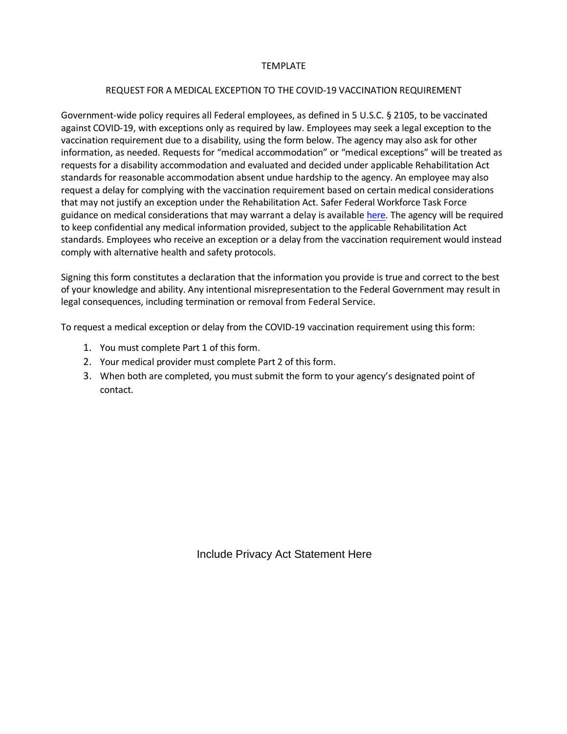## TEMPLATE

## REQUEST FOR A MEDICAL EXCEPTION TO THE COVID-19 VACCINATION REQUIREMENT

Government-wide policy requires all Federal employees, as defined in 5 U.S.C. § 2105, to be vaccinated against COVID-19, with exceptions only as required by law. Employees may seek a legal exception to the vaccination requirement due to a disability, using the form below. The agency may also ask for other information, as needed. Requests for "medical accommodation" or "medical exceptions" will be treated as requests for a disability accommodation and evaluated and decided under applicable Rehabilitation Act standards for reasonable accommodation absent undue hardship to the agency. An employee may also request a delay for complying with the vaccination requirement based on certain medical considerations that may not justify an exception under the Rehabilitation Act. Safer Federal Workforce Task Force guidance on medical considerations that may warrant a delay is available [here.](https://www.saferfederalworkforce.gov/faq/vaccinations/) The agency will be required to keep confidential any medical information provided, subject to the applicable Rehabilitation Act standards. Employees who receive an exception or a delay from the vaccination requirement would instead comply with alternative health and safety protocols.

Signing this form constitutes a declaration that the information you provide is true and correct to the best of your knowledge and ability. Any intentional misrepresentation to the Federal Government may result in legal consequences, including termination or removal from Federal Service.

To request a medical exception or delay from the COVID-19 vaccination requirement using this form:

- 1. You must complete Part 1 of this form.
- 2. Your medical provider must complete Part 2 of this form.
- 3. When both are completed, you must submit the form to your agency's designated point of contact.

Include Privacy Act Statement Here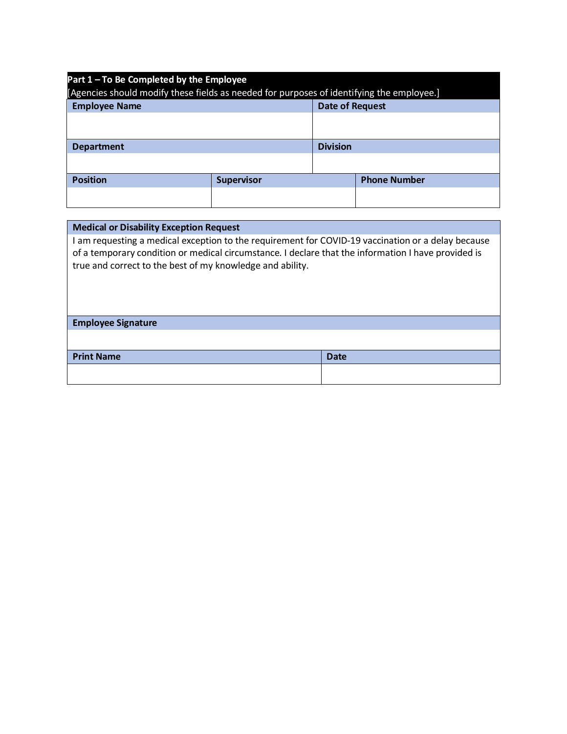| Part 1 - To Be Completed by the Employee<br>[Agencies should modify these fields as needed for purposes of identifying the employee.] |                   |                        |                     |  |
|---------------------------------------------------------------------------------------------------------------------------------------|-------------------|------------------------|---------------------|--|
| <b>Employee Name</b>                                                                                                                  |                   | <b>Date of Request</b> |                     |  |
|                                                                                                                                       |                   |                        |                     |  |
| <b>Department</b>                                                                                                                     |                   | <b>Division</b>        |                     |  |
|                                                                                                                                       |                   |                        |                     |  |
| <b>Position</b>                                                                                                                       | <b>Supervisor</b> |                        | <b>Phone Number</b> |  |
|                                                                                                                                       |                   |                        |                     |  |

| <b>Medical or Disability Exception Request</b>                                                                                                                                                                                                                         |             |  |  |  |
|------------------------------------------------------------------------------------------------------------------------------------------------------------------------------------------------------------------------------------------------------------------------|-------------|--|--|--|
| I am requesting a medical exception to the requirement for COVID-19 vaccination or a delay because<br>of a temporary condition or medical circumstance. I declare that the information I have provided is<br>true and correct to the best of my knowledge and ability. |             |  |  |  |
| <b>Employee Signature</b>                                                                                                                                                                                                                                              |             |  |  |  |
|                                                                                                                                                                                                                                                                        |             |  |  |  |
| <b>Print Name</b>                                                                                                                                                                                                                                                      | <b>Date</b> |  |  |  |
|                                                                                                                                                                                                                                                                        |             |  |  |  |